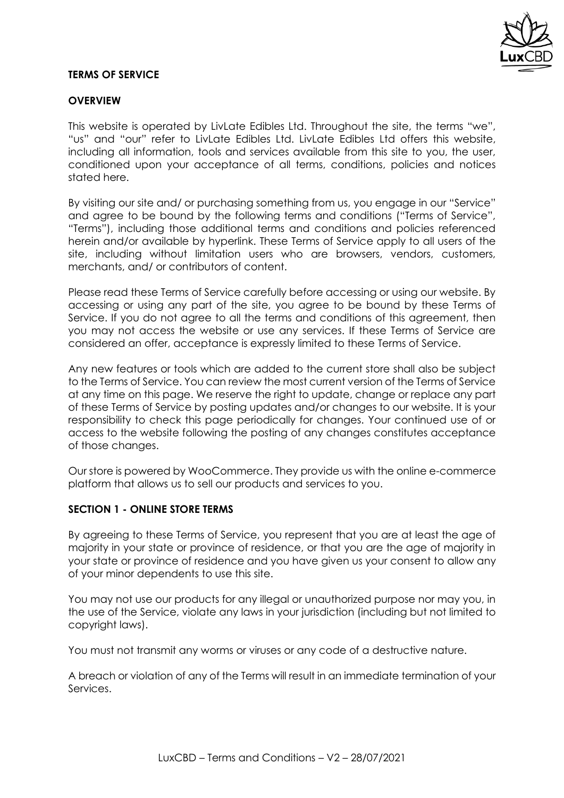

#### **TERMS OF SERVICE**

### **OVERVIEW**

This website is operated by LivLate Edibles Ltd. Throughout the site, the terms "we", "us" and "our" refer to LivLate Edibles Ltd. LivLate Edibles Ltd offers this website, including all information, tools and services available from this site to you, the user, conditioned upon your acceptance of all terms, conditions, policies and notices stated here.

By visiting our site and/ or purchasing something from us, you engage in our "Service" and agree to be bound by the following terms and conditions ("Terms of Service", "Terms"), including those additional terms and conditions and policies referenced herein and/or available by hyperlink. These Terms of Service apply to all users of the site, including without limitation users who are browsers, vendors, customers, merchants, and/ or contributors of content.

Please read these Terms of Service carefully before accessing or using our website. By accessing or using any part of the site, you agree to be bound by these Terms of Service. If you do not agree to all the terms and conditions of this agreement, then you may not access the website or use any services. If these Terms of Service are considered an offer, acceptance is expressly limited to these Terms of Service.

Any new features or tools which are added to the current store shall also be subject to the Terms of Service. You can review the most current version of the Terms of Service at any time on this page. We reserve the right to update, change or replace any part of these Terms of Service by posting updates and/or changes to our website. It is your responsibility to check this page periodically for changes. Your continued use of or access to the website following the posting of any changes constitutes acceptance of those changes.

Our store is powered by WooCommerce. They provide us with the online e-commerce platform that allows us to sell our products and services to you.

#### **SECTION 1 - ONLINE STORE TERMS**

By agreeing to these Terms of Service, you represent that you are at least the age of majority in your state or province of residence, or that you are the age of majority in your state or province of residence and you have given us your consent to allow any of your minor dependents to use this site.

You may not use our products for any illegal or unauthorized purpose nor may you, in the use of the Service, violate any laws in your jurisdiction (including but not limited to copyright laws).

You must not transmit any worms or viruses or any code of a destructive nature.

A breach or violation of any of the Terms will result in an immediate termination of your Services.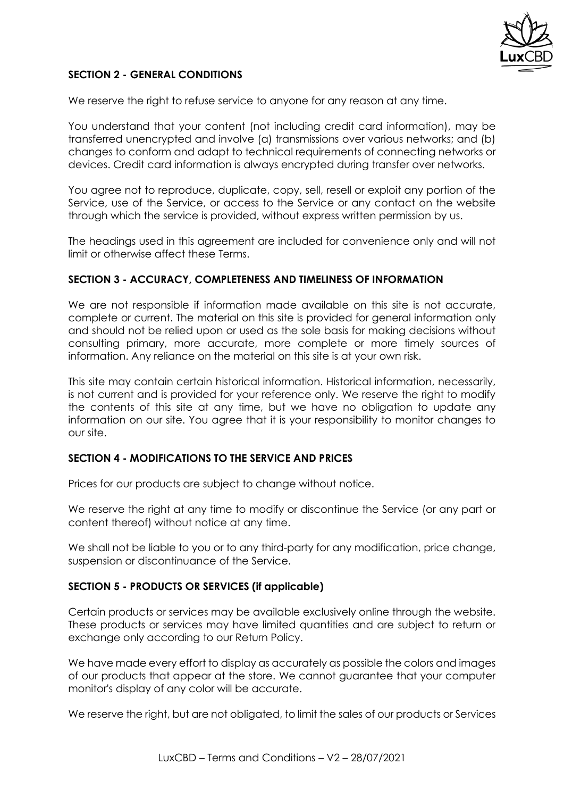

## **SECTION 2 - GENERAL CONDITIONS**

We reserve the right to refuse service to anyone for any reason at any time.

You understand that your content (not including credit card information), may be transferred unencrypted and involve (a) transmissions over various networks; and (b) changes to conform and adapt to technical requirements of connecting networks or devices. Credit card information is always encrypted during transfer over networks.

You agree not to reproduce, duplicate, copy, sell, resell or exploit any portion of the Service, use of the Service, or access to the Service or any contact on the website through which the service is provided, without express written permission by us.

The headings used in this agreement are included for convenience only and will not limit or otherwise affect these Terms.

## **SECTION 3 - ACCURACY, COMPLETENESS AND TIMELINESS OF INFORMATION**

We are not responsible if information made available on this site is not accurate, complete or current. The material on this site is provided for general information only and should not be relied upon or used as the sole basis for making decisions without consulting primary, more accurate, more complete or more timely sources of information. Any reliance on the material on this site is at your own risk.

This site may contain certain historical information. Historical information, necessarily, is not current and is provided for your reference only. We reserve the right to modify the contents of this site at any time, but we have no obligation to update any information on our site. You agree that it is your responsibility to monitor changes to our site.

## **SECTION 4 - MODIFICATIONS TO THE SERVICE AND PRICES**

Prices for our products are subject to change without notice.

We reserve the right at any time to modify or discontinue the Service (or any part or content thereof) without notice at any time.

We shall not be liable to you or to any third-party for any modification, price change, suspension or discontinuance of the Service.

#### **SECTION 5 - PRODUCTS OR SERVICES (if applicable)**

Certain products or services may be available exclusively online through the website. These products or services may have limited quantities and are subject to return or exchange only according to our Return Policy.

We have made every effort to display as accurately as possible the colors and images of our products that appear at the store. We cannot guarantee that your computer monitor's display of any color will be accurate.

We reserve the right, but are not obligated, to limit the sales of our products or Services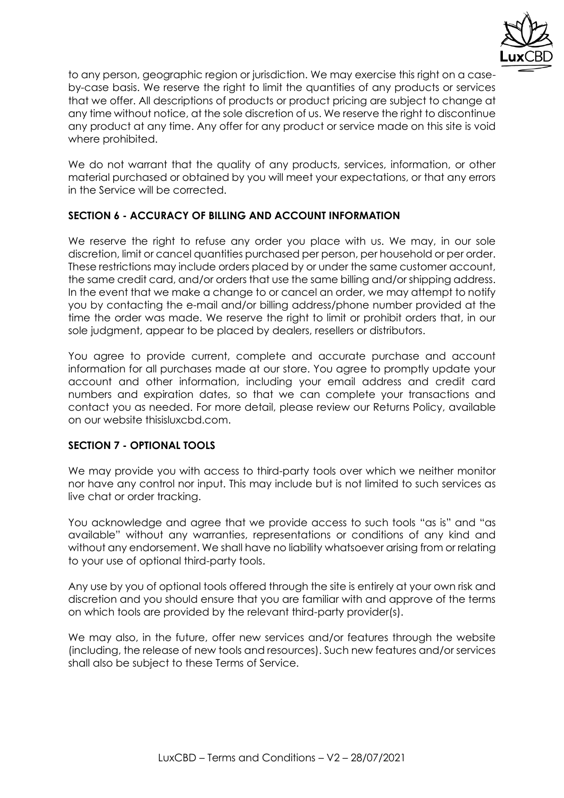

to any person, geographic region or jurisdiction. We may exercise this right on a caseby-case basis. We reserve the right to limit the quantities of any products or services that we offer. All descriptions of products or product pricing are subject to change at any time without notice, at the sole discretion of us. We reserve the right to discontinue any product at any time. Any offer for any product or service made on this site is void where prohibited.

We do not warrant that the quality of any products, services, information, or other material purchased or obtained by you will meet your expectations, or that any errors in the Service will be corrected.

### **SECTION 6 - ACCURACY OF BILLING AND ACCOUNT INFORMATION**

We reserve the right to refuse any order you place with us. We may, in our sole discretion, limit or cancel quantities purchased per person, per household or per order. These restrictions may include orders placed by or under the same customer account, the same credit card, and/or orders that use the same billing and/or shipping address. In the event that we make a change to or cancel an order, we may attempt to notify you by contacting the e-mail and/or billing address/phone number provided at the time the order was made. We reserve the right to limit or prohibit orders that, in our sole judgment, appear to be placed by dealers, resellers or distributors.

You agree to provide current, complete and accurate purchase and account information for all purchases made at our store. You agree to promptly update your account and other information, including your email address and credit card numbers and expiration dates, so that we can complete your transactions and contact you as needed. For more detail, please review our Returns Policy, available on our website thisisluxcbd.com.

## **SECTION 7 - OPTIONAL TOOLS**

We may provide you with access to third-party tools over which we neither monitor nor have any control nor input. This may include but is not limited to such services as live chat or order tracking.

You acknowledge and agree that we provide access to such tools "as is" and "as available" without any warranties, representations or conditions of any kind and without any endorsement. We shall have no liability whatsoever arising from or relating to your use of optional third-party tools.

Any use by you of optional tools offered through the site is entirely at your own risk and discretion and you should ensure that you are familiar with and approve of the terms on which tools are provided by the relevant third-party provider(s).

We may also, in the future, offer new services and/or features through the website (including, the release of new tools and resources). Such new features and/or services shall also be subject to these Terms of Service.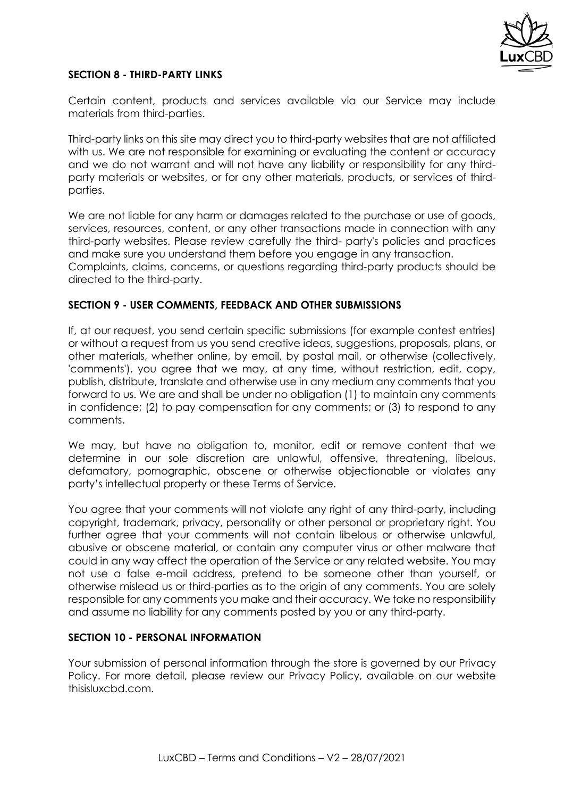

### **SECTION 8 - THIRD-PARTY LINKS**

Certain content, products and services available via our Service may include materials from third-parties.

Third-party links on this site may direct you to third-party websites that are not affiliated with us. We are not responsible for examining or evaluating the content or accuracy and we do not warrant and will not have any liability or responsibility for any thirdparty materials or websites, or for any other materials, products, or services of thirdparties.

We are not liable for any harm or damages related to the purchase or use of goods, services, resources, content, or any other transactions made in connection with any third-party websites. Please review carefully the third- party's policies and practices and make sure you understand them before you engage in any transaction. Complaints, claims, concerns, or questions regarding third-party products should be directed to the third-party.

#### **SECTION 9 - USER COMMENTS, FEEDBACK AND OTHER SUBMISSIONS**

If, at our request, you send certain specific submissions (for example contest entries) or without a request from us you send creative ideas, suggestions, proposals, plans, or other materials, whether online, by email, by postal mail, or otherwise (collectively, 'comments'), you agree that we may, at any time, without restriction, edit, copy, publish, distribute, translate and otherwise use in any medium any comments that you forward to us. We are and shall be under no obligation (1) to maintain any comments in confidence; (2) to pay compensation for any comments; or (3) to respond to any comments.

We may, but have no obligation to, monitor, edit or remove content that we determine in our sole discretion are unlawful, offensive, threatening, libelous, defamatory, pornographic, obscene or otherwise objectionable or violates any party's intellectual property or these Terms of Service.

You agree that your comments will not violate any right of any third-party, including copyright, trademark, privacy, personality or other personal or proprietary right. You further agree that your comments will not contain libelous or otherwise unlawful, abusive or obscene material, or contain any computer virus or other malware that could in any way affect the operation of the Service or any related website. You may not use a false e-mail address, pretend to be someone other than yourself, or otherwise mislead us or third-parties as to the origin of any comments. You are solely responsible for any comments you make and their accuracy. We take no responsibility and assume no liability for any comments posted by you or any third-party.

#### **SECTION 10 - PERSONAL INFORMATION**

Your submission of personal information through the store is governed by our Privacy Policy. For more detail, please review our Privacy Policy, available on our website thisisluxcbd.com.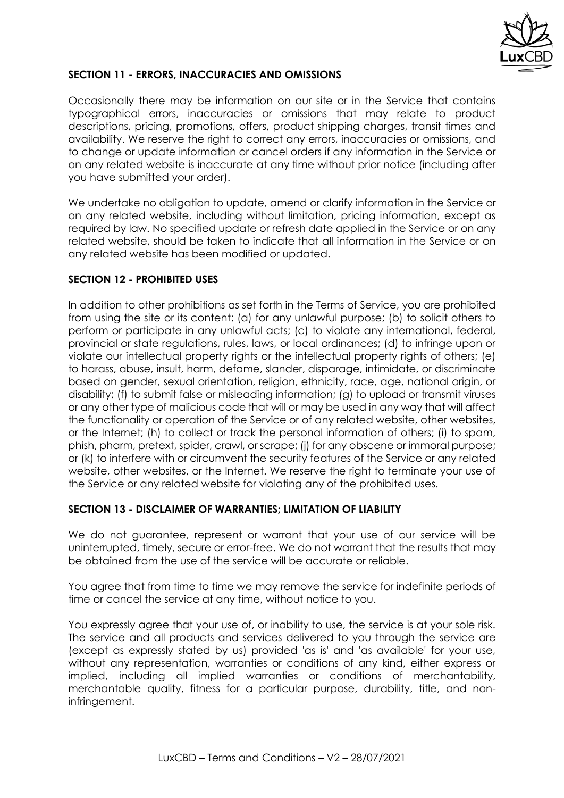

## **SECTION 11 - ERRORS, INACCURACIES AND OMISSIONS**

Occasionally there may be information on our site or in the Service that contains typographical errors, inaccuracies or omissions that may relate to product descriptions, pricing, promotions, offers, product shipping charges, transit times and availability. We reserve the right to correct any errors, inaccuracies or omissions, and to change or update information or cancel orders if any information in the Service or on any related website is inaccurate at any time without prior notice (including after you have submitted your order).

We undertake no obligation to update, amend or clarify information in the Service or on any related website, including without limitation, pricing information, except as required by law. No specified update or refresh date applied in the Service or on any related website, should be taken to indicate that all information in the Service or on any related website has been modified or updated.

# **SECTION 12 - PROHIBITED USES**

In addition to other prohibitions as set forth in the Terms of Service, you are prohibited from using the site or its content: (a) for any unlawful purpose; (b) to solicit others to perform or participate in any unlawful acts; (c) to violate any international, federal, provincial or state regulations, rules, laws, or local ordinances; (d) to infringe upon or violate our intellectual property rights or the intellectual property rights of others; (e) to harass, abuse, insult, harm, defame, slander, disparage, intimidate, or discriminate based on gender, sexual orientation, religion, ethnicity, race, age, national origin, or disability; (f) to submit false or misleading information; (g) to upload or transmit viruses or any other type of malicious code that will or may be used in any way that will affect the functionality or operation of the Service or of any related website, other websites, or the Internet; (h) to collect or track the personal information of others; (i) to spam, phish, pharm, pretext, spider, crawl, or scrape; (j) for any obscene or immoral purpose; or (k) to interfere with or circumvent the security features of the Service or any related website, other websites, or the Internet. We reserve the right to terminate your use of the Service or any related website for violating any of the prohibited uses.

## **SECTION 13 - DISCLAIMER OF WARRANTIES; LIMITATION OF LIABILITY**

We do not guarantee, represent or warrant that your use of our service will be uninterrupted, timely, secure or error-free. We do not warrant that the results that may be obtained from the use of the service will be accurate or reliable.

You agree that from time to time we may remove the service for indefinite periods of time or cancel the service at any time, without notice to you.

You expressly agree that your use of, or inability to use, the service is at your sole risk. The service and all products and services delivered to you through the service are (except as expressly stated by us) provided 'as is' and 'as available' for your use, without any representation, warranties or conditions of any kind, either express or implied, including all implied warranties or conditions of merchantability, merchantable quality, fitness for a particular purpose, durability, title, and noninfringement.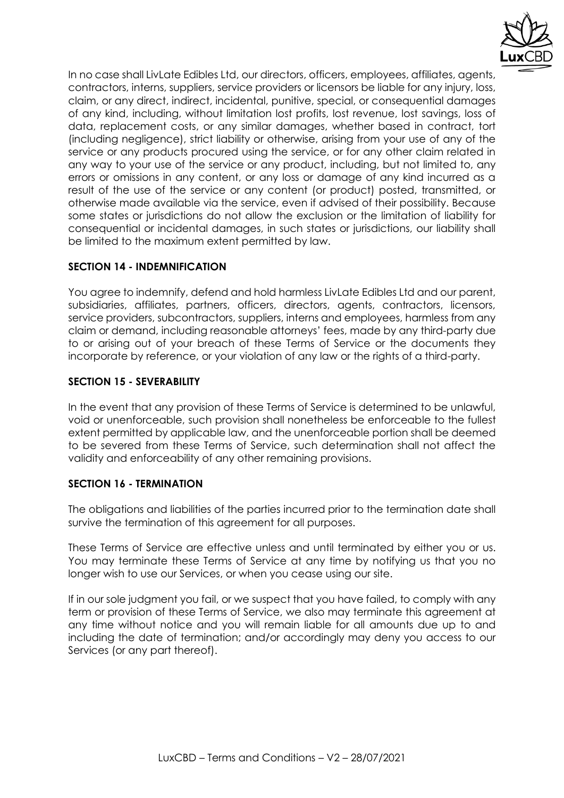

In no case shall LivLate Edibles Ltd, our directors, officers, employees, affiliates, agents, contractors, interns, suppliers, service providers or licensors be liable for any injury, loss, claim, or any direct, indirect, incidental, punitive, special, or consequential damages of any kind, including, without limitation lost profits, lost revenue, lost savings, loss of data, replacement costs, or any similar damages, whether based in contract, tort (including negligence), strict liability or otherwise, arising from your use of any of the service or any products procured using the service, or for any other claim related in any way to your use of the service or any product, including, but not limited to, any errors or omissions in any content, or any loss or damage of any kind incurred as a result of the use of the service or any content (or product) posted, transmitted, or otherwise made available via the service, even if advised of their possibility. Because some states or jurisdictions do not allow the exclusion or the limitation of liability for consequential or incidental damages, in such states or jurisdictions, our liability shall be limited to the maximum extent permitted by law.

# **SECTION 14 - INDEMNIFICATION**

You agree to indemnify, defend and hold harmless LivLate Edibles Ltd and our parent, subsidiaries, affiliates, partners, officers, directors, agents, contractors, licensors, service providers, subcontractors, suppliers, interns and employees, harmless from any claim or demand, including reasonable attorneys' fees, made by any third-party due to or arising out of your breach of these Terms of Service or the documents they incorporate by reference, or your violation of any law or the rights of a third-party.

## **SECTION 15 - SEVERABILITY**

In the event that any provision of these Terms of Service is determined to be unlawful, void or unenforceable, such provision shall nonetheless be enforceable to the fullest extent permitted by applicable law, and the unenforceable portion shall be deemed to be severed from these Terms of Service, such determination shall not affect the validity and enforceability of any other remaining provisions.

## **SECTION 16 - TERMINATION**

The obligations and liabilities of the parties incurred prior to the termination date shall survive the termination of this agreement for all purposes.

These Terms of Service are effective unless and until terminated by either you or us. You may terminate these Terms of Service at any time by notifying us that you no longer wish to use our Services, or when you cease using our site.

If in our sole judgment you fail, or we suspect that you have failed, to comply with any term or provision of these Terms of Service, we also may terminate this agreement at any time without notice and you will remain liable for all amounts due up to and including the date of termination; and/or accordingly may deny you access to our Services (or any part thereof).